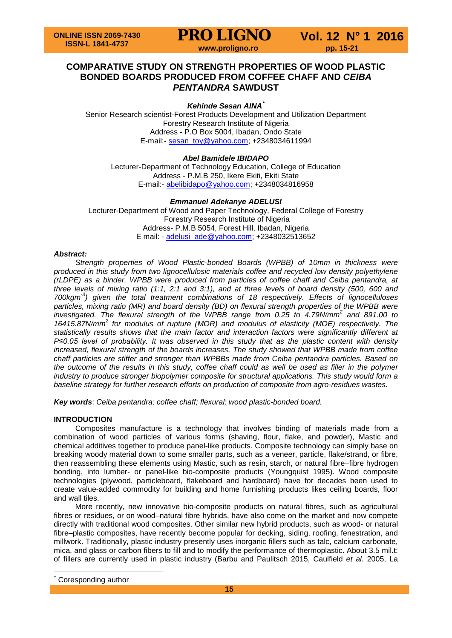

# **COMPARATIVE STUDY ON STRENGTH PROPERTIES OF WOOD PLASTIC BONDED BOARDS PRODUCED FROM COFFEE CHAFF AND** *CEIBA PENTANDRA* **SAWDUST**

## *Kehinde Sesan AINA[\\*](#page-0-0)*

Senior Research scientist-Forest Products Development and Utilization Department Forestry Research Institute of Nigeria Address - P.O Box 5004, Ibadan, Ondo State E-mail:- [sesan\\_toy@yahoo.com;](mailto:sesan_toy@yahoo.com) +2348034611994

### *Abel Bamidele IBIDAPO*

Lecturer-Department of Technology Education, College of Education Address - P.M.B 250, Ikere Ekiti, Ekiti State E-mail:- [abelibidapo@yahoo.com;](mailto:abelibidapo@yahoo.com) +2348034816958

## *Emmanuel Adekanye ADELUSI*

Lecturer-Department of Wood and Paper Technology, Federal College of Forestry Forestry Research Institute of Nigeria Address- P.M.B 5054, Forest Hill, Ibadan, Nigeria E mail: - [adelusi\\_ade@yahoo.com;](mailto:adelusi_ade@yahoo.com) +2348032513652

### *Abstract:*

*Strength properties of Wood Plastic-bonded Boards (WPBB) of 10mm in thickness were produced in this study from two lignocellulosic materials coffee and recycled low density polyethylene (rLDPE) as a binder. WPBB were produced from particles of coffee chaff and Ceiba pentandra, at three levels of mixing ratio (1:1, 2:1 and 3:1), and at three levels of board density (500, 600 and 700kgm-3 ) given the total treatment combinations of 18 respectively. Effects of lignocelluloses particles, mixing ratio (MR) and board density (BD) on flexural strength properties of the WPBB were investigated. The flexural strength of the WPBB range from 0.25 to 4.79N/mm<sup>2</sup> and 891.00 to 16415.87N/mm<sup>2</sup> for modulus of rupture (MOR) and modulus of elasticity (MOE) respectively. The statistically results shows that the main factor and interaction factors were significantly different at P≤0.05 level of probability. It was observed in this study that as the plastic content with density increased, flexural strength of the boards increases. The study showed that WPBB made from coffee chaff particles are stiffer and stronger than WPBBs made from Ceiba pentandra particles. Based on the outcome of the results in this study, coffee chaff could as well be used as filler in the polymer industry to produce stronger biopolymer composite for structural applications. This study would form a baseline strategy for further research efforts on production of composite from agro-residues wastes.*

*Key words*: *Ceiba pentandra; coffee chaff; flexural; wood plastic-bonded board.*

### **INTRODUCTION**

Composites manufacture is a technology that involves binding of materials made from a combination of wood particles of various forms (shaving, flour, flake, and powder), Mastic and chemical additives together to produce panel-like products. Composite technology can simply base on breaking woody material down to some smaller parts, such as a veneer, particle, flake/strand, or fibre, then reassembling these elements using Mastic, such as resin, starch, or natural fibre–fibre hydrogen bonding, into lumber- or panel-like bio-composite products (Youngquist 1995). Wood composite technologies (plywood, particleboard, flakeboard and hardboard) have for decades been used to create value-added commodity for building and home furnishing products likes ceiling boards, floor and wall tiles.

More recently, new innovative bio-composite products on natural fibres, such as agricultural fibres or residues, or on wood–natural fibre hybrids, have also come on the market and now compete directly with traditional wood composites. Other similar new hybrid products, such as wood- or natural fibre–plastic composites, have recently become popular for decking, siding, roofing, fenestration, and millwork. Traditionally, plastic industry presently uses inorganic fillers such as talc, calcium carbonate, mica, and glass or carbon fibers to fill and to modify the performance of thermoplastic. About 3.5 mil.t: of fillers are currently used in plastic industry (Barbu and Paulitsch 2015, Caulfield *et al.* 2005, La

<span id="page-0-0"></span>Coresponding author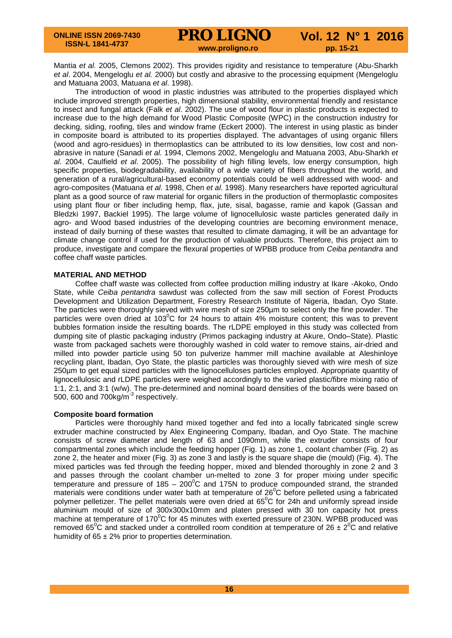# **PRO LIGNO** Vol. 12 N° 1 2016

Mantia *et al.* 2005, Clemons 2002). This provides rigidity and resistance to temperature (Abu-Sharkh *et al*. 2004, Mengeloglu *et al.* 2000) but costly and abrasive to the processing equipment (Mengeloglu and Matuana 2003, Matuana *et al*. 1998).

The introduction of wood in plastic industries was attributed to the properties displayed which include improved strength properties, high dimensional stability, environmental friendly and resistance to insect and fungal attack (Falk *et al*. 2002). The use of wood flour in plastic products is expected to increase due to the high demand for Wood Plastic Composite (WPC) in the construction industry for decking, siding, roofing, tiles and window frame (Eckert 2000). The interest in using plastic as binder in composite board is attributed to its properties displayed. The advantages of using organic fillers (wood and agro-residues) in thermoplastics can be attributed to its low densities, low cost and nonabrasive in nature (Sanadi *et al.* 1994, Clemons 2002, Mengeloglu and Matuana 2003, Abu-Sharkh *et al*. 2004, Caulfield *et al*. 2005). The possibility of high filling levels, low energy consumption, high specific properties, biodegradability, availability of a wide variety of fibers throughout the world, and generation of a rural/agricultural-based economy potentials could be well addressed with wood- and agro-composites (Matuana *et al*. 1998, Chen *et al*. 1998). Many researchers have reported agricultural plant as a good source of raw material for organic fillers in the production of thermoplastic composites using plant flour or fiber including hemp, flax, jute, sisal, bagasse, ramie and kapok (Gassan and Bledzki 1997, Backiel 1995). The large volume of lignocellulosic waste particles generated daily in agro- and Wood based industries of the developing countries are becoming environment menace, instead of daily burning of these wastes that resulted to climate damaging, it will be an advantage for climate change control if used for the production of valuable products. Therefore, this project aim to produce, investigate and compare the flexural properties of WPBB produce from *Ceiba pentandra* and coffee chaff waste particles.

### **MATERIAL AND METHOD**

Coffee chaff waste was collected from coffee production milling industry at Ikare -Akoko, Ondo State, while *Ceiba pentandra* sawdust was collected from the saw mill section of Forest Products Development and Utilization Department, Forestry Research Institute of Nigeria, Ibadan, Oyo State. The particles were thoroughly sieved with wire mesh of size 250µm to select only the fine powder. The particles were oven dried at 103<sup>°</sup>C for 24 hours to attain 4% moisture content; this was to prevent bubbles formation inside the resulting boards. The rLDPE employed in this study was collected from dumping site of plastic packaging industry (Primos packaging industry at Akure, Ondo–State). Plastic waste from packaged sachets were thoroughly washed in cold water to remove stains, air-dried and milled into powder particle using 50 ton pulverize hammer mill machine available at Aleshinloye recycling plant, Ibadan, Oyo State, the plastic particles was thoroughly sieved with wire mesh of size 250µm to get equal sized particles with the lignocelluloses particles employed. Appropriate quantity of lignocellulosic and rLDPE particles were weighed accordingly to the varied plastic/fibre mixing ratio of 1:1, 2:1, and 3:1 (w/w). The pre-determined and nominal board densities of the boards were based on 500, 600 and 700kg/m<sup>-3</sup> respectively.

# **Composite board formation**

Particles were thoroughly hand mixed together and fed into a locally fabricated single screw extruder machine constructed by Alex Engineering Company, Ibadan, and Oyo State. The machine consists of screw diameter and length of 63 and 1090mm, while the extruder consists of four compartmental zones which include the feeding hopper (Fig. 1) as zone 1, coolant chamber (Fig. 2) as zone 2, the heater and mixer (Fig. 3) as zone 3 and lastly is the square shape die (mould) (Fig. 4). The mixed particles was fed through the feeding hopper, mixed and blended thoroughly in zone 2 and 3 and passes through the coolant chamber un-melted to zone 3 for proper mixing under specific temperature and pressure of 185 – 200 $^{\circ}$ C and 175N to produce compounded strand, the stranded materials were conditions under water bath at temperature of  $26^{\circ}$ C before pelleted using a fabricated polymer pelletizer. The pellet materials were oven dried at  $65^{\circ}$ C for 24h and uniformly spread inside aluminium mould of size of 300x300x10mm and platen pressed with 30 ton capacity hot press machine at temperature of 170 $\mathrm{^0C}$  for 45 minutes with exerted pressure of 230N. WPBB produced was removed 65<sup>°</sup>C and stacked under a controlled room condition at temperature of 26  $\pm$  2<sup>°</sup>C and relative humidity of  $65 \pm 2\%$  prior to properties determination.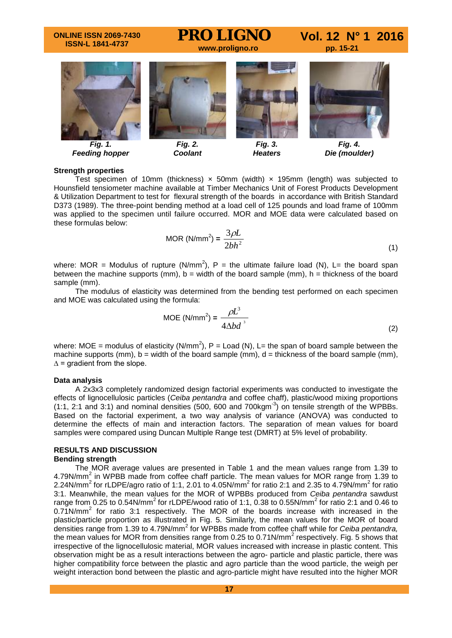### **ONLINE ISSN 2069-7430 ISSN-L 1841-4737**

# **PRO LIGNO** Vol. 12 N° 1 2016



*Fig. 1. Feeding hopper*



*Fig. 2. Coolant*



*Fig. 3. Heaters*



*Fig. 4. Die (moulder)*

### **Strength properties**

Test specimen of 10mm (thickness)  $\times$  50mm (width)  $\times$  195mm (length) was subjected to Hounsfield tensiometer machine available at Timber Mechanics Unit of Forest Products Development & Utilization Department to test for flexural strength of the boards in accordance with British Standard D373 (1989). The three-point bending method at a load cell of 125 pounds and load frame of 100mm was applied to the specimen until failure occurred. MOR and MOE data were calculated based on these formulas below:

$$
MOR (N/mm2) = \frac{3\rho L}{2bh2}
$$
 (1)

where: MOR = Modulus of rupture (N/mm<sup>2</sup>), P = the ultimate failure load (N), L= the board span between the machine supports (mm),  $b =$  width of the board sample (mm),  $h =$  thickness of the board sample (mm).

The modulus of elasticity was determined from the bending test performed on each specimen and MOE was calculated using the formula:

$$
MOE (N/mm2) = \frac{\rho L3}{4\Delta bd3}
$$
 (2)

where: MOE = modulus of elasticity (N/mm<sup>2</sup>), P = Load (N), L= the span of board sample between the machine supports (mm),  $b =$  width of the board sample (mm),  $d =$  thickness of the board sample (mm),  $\Delta$  = gradient from the slope.

### **Data analysis**

A 2x3x3 completely randomized design factorial experiments was conducted to investigate the effects of lignocellulosic particles (*Ceiba pentandra* and coffee chaff), plastic/wood mixing proportions  $(1:1, 2:1 \text{ and } 3:1)$  and nominal densities  $(500, 600 \text{ and } 700 \text{kgm}^3)$  on tensile strength of the WPBBs. Based on the factorial experiment, a two way analysis of variance (ANOVA) was conducted to determine the effects of main and interaction factors. The separation of mean values for board samples were compared using Duncan Multiple Range test (DMRT) at 5% level of probability.

### **RESULTS AND DISCUSSION Bending strength**

The MOR average values are presented in Table 1 and the mean values range from 1.39 to 4.79N/mm<sup>2</sup> in WPBB made from coffee chaff particle. The mean values for MOR range from 1.39 to 2.24N/mm<sup>2</sup> for rLDPE/agro ratio of 1:1, 2.01 to 4.05N/mm<sup>2</sup> for ratio 2:1 and 2.35 to 4.79N/mm<sup>2</sup> for ratio 3:1. Meanwhile, the mean values for the MOR of WPBBs produced from *Ceiba pentandra* sawdust range from 0.25 to 0.54N/mm<sup>2</sup> for rLDPE/wood ratio of 1:1, 0.38 to 0.55N/mm<sup>2</sup> for ratio 2:1 and 0.46 to 0.71N/mm<sup>2</sup> for ratio 3:1 respectively. The MOR of the boards increase with increased in the plastic/particle proportion as illustrated in Fig. 5. Similarly, the mean values for the MOR of board densities range from 1.39 to 4.79N/mm<sup>2</sup> for WPBBs made from coffee chaff while for *Ceiba pentandra*, the mean values for MOR from densities range from 0.25 to 0.71N/mm<sup>2</sup> respectively. Fig. 5 shows that irrespective of the lignocellulosic material, MOR values increased with increase in plastic content. This observation might be as a result interactions between the agro- particle and plastic particle, there was higher compatibility force between the plastic and agro particle than the wood particle, the weigh per weight interaction bond between the plastic and agro-particle might have resulted into the higher MOR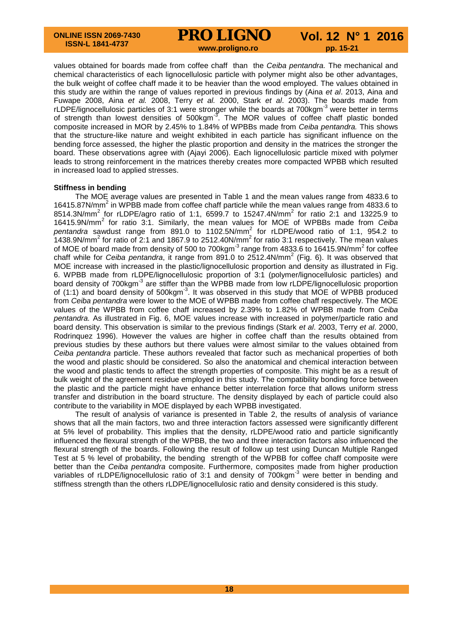**PRO LIGNO** Vol. 12 N° 1 2016

values obtained for boards made from coffee chaff than the *Ceiba pentandra.* The mechanical and chemical characteristics of each lignocellulosic particle with polymer might also be other advantages, the bulk weight of coffee chaff made it to be heavier than the wood employed. The values obtained in this study are within the range of values reported in previous findings by (Aina *et al*. 2013, Aina and Fuwape 2008, Aina *et al.* 2008, Terry *et al.* 2000, Stark *et al*. 2003). The boards made from rLDPE/lignocellulosic particles of 3:1 were stronger while the boards at 700kgm<sup>-3</sup> were better in terms of strength than lowest densities of 500kgm<sup>-3</sup>. The MOR values of coffee chaff plastic bonded composite increased in MOR by 2.45% to 1.84% of WPBBs made from *Ceiba pentandra.* This shows that the structure-like nature and weight exhibited in each particle has significant influence on the bending force assessed, the higher the plastic proportion and density in the matrices the stronger the board. These observations agree with (Ajayi 2006). Each lignocellulosic particle mixed with polymer leads to strong reinforcement in the matrices thereby creates more compacted WPBB which resulted in increased load to applied stresses.

### **Stiffness in bending**

The MOE average values are presented in Table 1 and the mean values range from 4833.6 to 16415.87N/mm<sup>2</sup> in WPBB made from coffee chaff particle while the mean values range from 4833.6 to 8514.3N/mm<sup>2</sup> for rLDPE/agro ratio of 1:1, 6599.7 to 15247.4N/mm<sup>2</sup> for ratio 2:1 and 13225.9 to 16415.9N/mm<sup>2</sup> for ratio 3:1. Similarly, the mean values for MOE of WPBBs made from *Ceiba pentandra* sawdust range from 891.0 to 1102.5N/mm<sup>2</sup> for rLDPE/wood ratio of 1:1, 954.2 to 1438.9N/mm<sup>2</sup> for ratio of 2:1 and 1867.9 to 2512.40N/mm<sup>2</sup> for ratio 3:1 respectively. The mean values of MOE of board made from density of 500 to 700kgm<sup>-3</sup> range from 4833.6 to 16415.9N/mm<sup>2</sup> for coffee chaff while for *Ceiba pentandra*, it range from 891.0 to 2512.4N/mm<sup>2</sup> (Fig. 6). It was observed that MOE increase with increased in the plastic/lignocellulosic proportion and density as illustrated in Fig. 6. WPBB made from rLDPE/lignocellulosic proportion of 3:1 (polymer/lignocellulosic particles) and board density of 700kgm<sup>-3</sup> are stiffer than the WPBB made from low rLDPE/lignocellulosic proportion of (1:1) and board density of  $500$ kgm<sup>-3</sup>. It was observed in this study that MOE of WPBB produced from *Ceiba pentandra* were lower to the MOE of WPBB made from coffee chaff respectively. The MOE values of the WPBB from coffee chaff increased by 2.39% to 1.82% of WPBB made from *Ceiba pentandra.* As illustrated in Fig. 6, MOE values increase with increased in polymer/particle ratio and board density. This observation is similar to the previous findings (Stark *et al*. 2003, Terry *et al*. 2000, Rodrinquez 1996). However the values are higher in coffee chaff than the results obtained from previous studies by these authors but there values were almost similar to the values obtained from *Ceiba pentandra* particle. These authors revealed that factor such as mechanical properties of both the wood and plastic should be considered. So also the anatomical and chemical interaction between the wood and plastic tends to affect the strength properties of composite. This might be as a result of bulk weight of the agreement residue employed in this study. The compatibility bonding force between the plastic and the particle might have enhance better interrelation force that allows uniform stress transfer and distribution in the board structure. The density displayed by each of particle could also contribute to the variability in MOE displayed by each WPBB investigated.

The result of analysis of variance is presented in Table 2, the results of analysis of variance shows that all the main factors, two and three interaction factors assessed were significantly different at 5% level of probability. This implies that the density, rLDPE/wood ratio and particle significantly influenced the flexural strength of the WPBB, the two and three interaction factors also influenced the flexural strength of the boards. Following the result of follow up test using Duncan Multiple Ranged Test at 5 % level of probability, the bending strength of the WPBB for coffee chaff composite were better than the *Ceiba pentandra* composite. Furthermore, composites made from higher production variables of rLDPE/lignocellulosic ratio of 3:1 and density of 700kgm<sup>-3</sup> were better in bending and stiffness strength than the others rLDPE/lignocellulosic ratio and density considered is this study.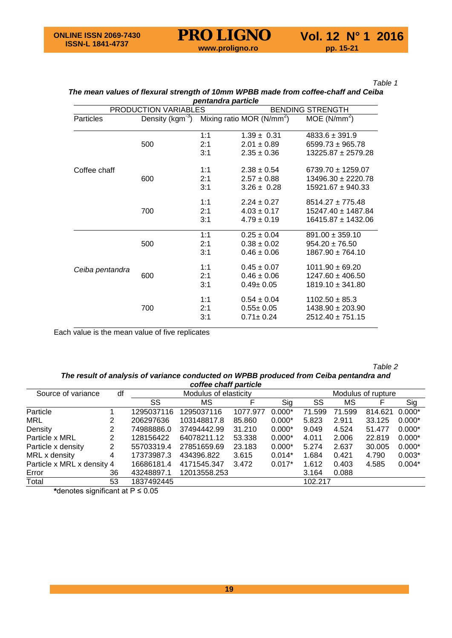*Table 1*

### *The mean values of flexural strength of 10mm WPBB made from coffee-chaff and Ceiba pentandra particle*

|                  | PRODUCTION VARIABLES         | pontanara particio<br><b>BENDING STRENGTH</b> |                                                       |                                                                          |  |  |
|------------------|------------------------------|-----------------------------------------------|-------------------------------------------------------|--------------------------------------------------------------------------|--|--|
| <b>Particles</b> | Density (kgm <sup>-3</sup> ) |                                               | Mixing ratio MOR ( $N/mm^2$ )                         | MOE (N/mm <sup>2</sup> )                                                 |  |  |
|                  | 500                          | 1:1<br>2:1<br>3:1                             | $1.39 \pm 0.31$<br>$2.01 \pm 0.89$<br>$2.35 \pm 0.36$ | $4833.6 \pm 391.9$<br>$6599.73 \pm 965.78$<br>$13225.87 \pm 2579.28$     |  |  |
| Coffee chaff     | 600                          | 1:1<br>2:1<br>3:1                             | $2.38 \pm 0.54$<br>$2.57 \pm 0.88$<br>$3.26 \pm 0.28$ | $6739.70 \pm 1259.07$<br>$13496.30 \pm 2220.78$<br>$15921.67 \pm 940.33$ |  |  |
|                  | 700                          | 1:1<br>2:1<br>3:1                             | $2.24 \pm 0.27$<br>$4.03 \pm 0.17$<br>$4.79 \pm 0.19$ | $8514.27 \pm 775.48$<br>15247.40 ± 1487.84<br>16415.87 ± 1432.06         |  |  |
|                  | 500                          | 1:1<br>2:1<br>3:1                             | $0.25 \pm 0.04$<br>$0.38 \pm 0.02$<br>$0.46 \pm 0.06$ | $891.00 \pm 359.10$<br>$954.20 \pm 76.50$<br>$1867.90 \pm 764.10$        |  |  |
| Ceiba pentandra  | 600                          | 1:1<br>2:1<br>3:1                             | $0.45 \pm 0.07$<br>$0.46 \pm 0.06$<br>$0.49 \pm 0.05$ | $1011.90 \pm 69.20$<br>$1247.60 \pm 406.50$<br>$1819.10 \pm 341.80$      |  |  |
|                  | 700                          | 1:1<br>2:1<br>3:1                             | $0.54 \pm 0.04$<br>$0.55 \pm 0.05$<br>$0.71 \pm 0.24$ | $1102.50 \pm 85.3$<br>$1438.90 \pm 203.90$<br>$2512.40 \pm 751.15$       |  |  |

Each value is the mean value of five replicates

*Table 2*

### *The result of analysis of variance conducted on WPBB produced from Ceiba pentandra and coffee chaff particle*

| coffee chaff particle      |    |                       |              |          |          |                    |        |         |          |  |  |  |
|----------------------------|----|-----------------------|--------------|----------|----------|--------------------|--------|---------|----------|--|--|--|
| Source of variance         | df | Modulus of elasticity |              |          |          | Modulus of rupture |        |         |          |  |  |  |
|                            |    | SS                    | МS           |          | Sig      | SS                 | МS     |         | Sig      |  |  |  |
| Particle                   |    | 1295037116            | 1295037116   | 1077.977 | $0.000*$ | 71.599             | 71.599 | 814.621 | $0.000*$ |  |  |  |
| <b>MRL</b>                 | 2  | 206297636             | 103148817.8  | 85,860   | $0.000*$ | 5.823              | 2.911  | 33.125  | $0.000*$ |  |  |  |
| Density                    | 2  | 74988886.0            | 37494442.99  | 31.210   | $0.000*$ | 9.049              | 4.524  | 51.477  | $0.000*$ |  |  |  |
| Particle x MRL             | 2  | 128156422             | 64078211.12  | 53.338   | $0.000*$ | 4.011              | 2.006  | 22.819  | $0.000*$ |  |  |  |
| Particle x density         | 2  | 55703319.4            | 27851659.69  | 23.183   | $0.000*$ | 5.274              | 2.637  | 30.005  | $0.000*$ |  |  |  |
| MRL x density              | 4  | 17373987.3            | 434396.822   | 3.615    | $0.014*$ | 1.684              | 0.421  | 4.790   | $0.003*$ |  |  |  |
| Particle x MRL x density 4 |    | 16686181.4            | 4171545.347  | 3.472    | $0.017*$ | 1.612              | 0.403  | 4.585   | $0.004*$ |  |  |  |
| Error                      | 36 | 43248897.1            | 12013558.253 |          |          | 3.164              | 0.088  |         |          |  |  |  |
| Total                      | 53 | 1837492445            |              |          |          | 102.217            |        |         |          |  |  |  |

**\***denotes significant at P ≤ 0.05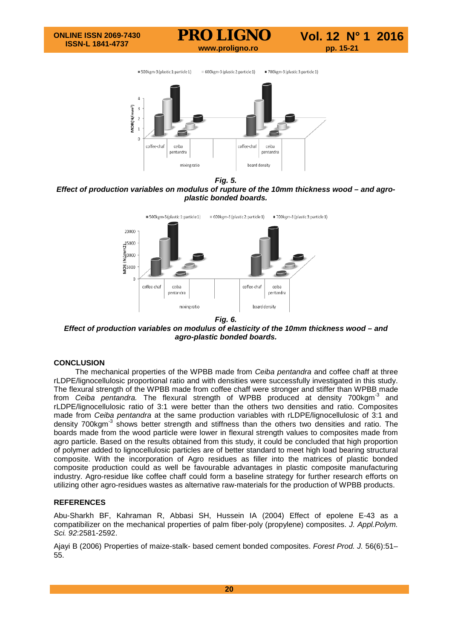



*Fig. 5.*

*Effect of production variables on modulus of rupture of the 10mm thickness wood – and agroplastic bonded boards.*



*Fig. 6.*

*Effect of production variables on modulus of elasticity of the 10mm thickness wood – and agro-plastic bonded boards.*

# **CONCLUSION**

The mechanical properties of the WPBB made from *Ceiba pentandra* and coffee chaff at three rLDPE/lignocellulosic proportional ratio and with densities were successfully investigated in this study. The flexural strength of the WPBB made from coffee chaff were stronger and stiffer than WPBB made from *Ceiba pentandra.* The flexural strength of WPBB produced at density 700kgm-3 and rLDPE/lignocellulosic ratio of 3:1 were better than the others two densities and ratio. Composites made from *Ceiba pentandra* at the same production variables with rLDPE/lignocellulosic of 3:1 and density 700kgm<sup>-3</sup> shows better strength and stiffness than the others two densities and ratio. The boards made from the wood particle were lower in flexural strength values to composites made from agro particle. Based on the results obtained from this study, it could be concluded that high proportion of polymer added to lignocellulosic particles are of better standard to meet high load bearing structural composite. With the incorporation of Agro residues as filler into the matrices of plastic bonded composite production could as well be favourable advantages in plastic composite manufacturing industry. Agro-residue like coffee chaff could form a baseline strategy for further research efforts on utilizing other agro-residues wastes as alternative raw-materials for the production of WPBB products.

# **REFERENCES**

Abu-Sharkh BF, Kahraman R, Abbasi SH, Hussein IA (2004) Effect of epolene E-43 as a compatibilizer on the mechanical properties of palm fiber-poly (propylene) composites. *J. Appl.Polym. Sci. 92*:2581-2592.

Ajayi B (2006) Properties of maize-stalk- based cement bonded composites. *Forest Prod. J.* 56(6):51– 55.